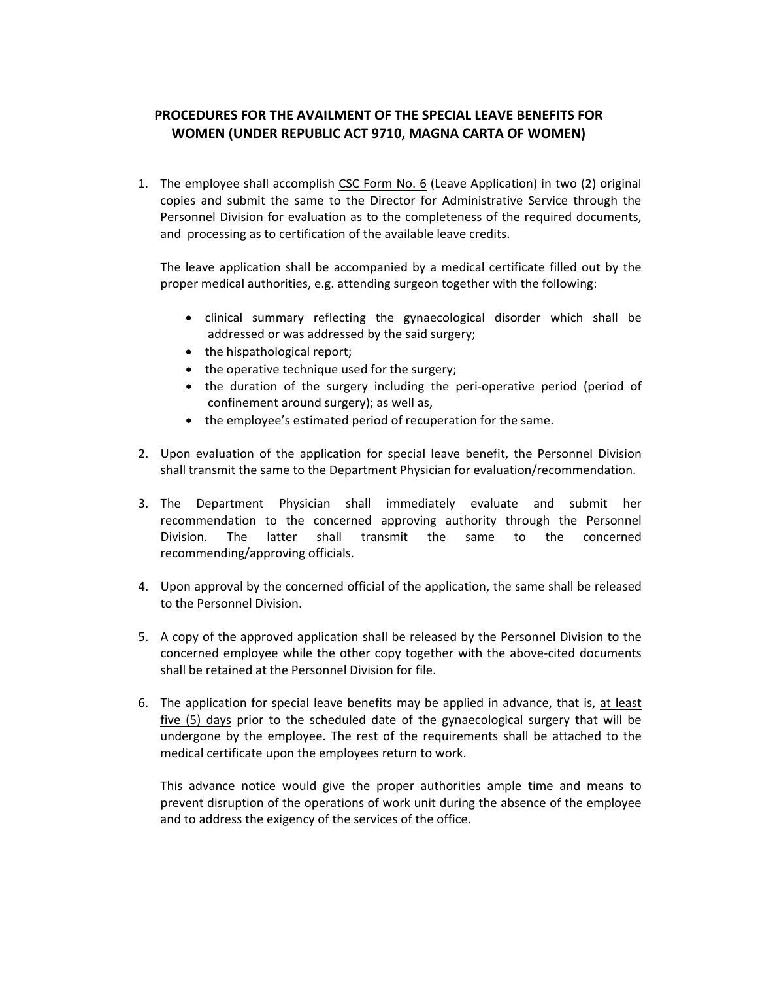## **PROCEDURES FOR THE AVAILMENT OF THE SPECIAL LEAVE BENEFITS FOR WOMEN (UNDER REPUBLIC ACT 9710, MAGNA CARTA OF WOMEN)**

1. The employee shall accomplish CSC Form No. 6 (Leave Application) in two (2) original copies and submit the same to the Director for Administrative Service through the Personnel Division for evaluation as to the completeness of the required documents, and processing as to certification of the available leave credits.

The leave application shall be accompanied by a medical certificate filled out by the proper medical authorities, e.g. attending surgeon together with the following:

- clinical summary reflecting the gynaecological disorder which shall be addressed or was addressed by the said surgery;
- the hispathological report;
- the operative technique used for the surgery;
- the duration of the surgery including the peri‐operative period (period of confinement around surgery); as well as,
- the employee's estimated period of recuperation for the same.
- 2. Upon evaluation of the application for special leave benefit, the Personnel Division shall transmit the same to the Department Physician for evaluation/recommendation.
- 3. The Department Physician shall immediately evaluate and submit her recommendation to the concerned approving authority through the Personnel Division. The latter shall transmit the same to the concerned recommending/approving officials.
- 4. Upon approval by the concerned official of the application, the same shall be released to the Personnel Division.
- 5. A copy of the approved application shall be released by the Personnel Division to the concerned employee while the other copy together with the above-cited documents shall be retained at the Personnel Division for file.
- 6. The application for special leave benefits may be applied in advance, that is, at least five (5) days prior to the scheduled date of the gynaecological surgery that will be undergone by the employee. The rest of the requirements shall be attached to the medical certificate upon the employees return to work.

This advance notice would give the proper authorities ample time and means to prevent disruption of the operations of work unit during the absence of the employee and to address the exigency of the services of the office.